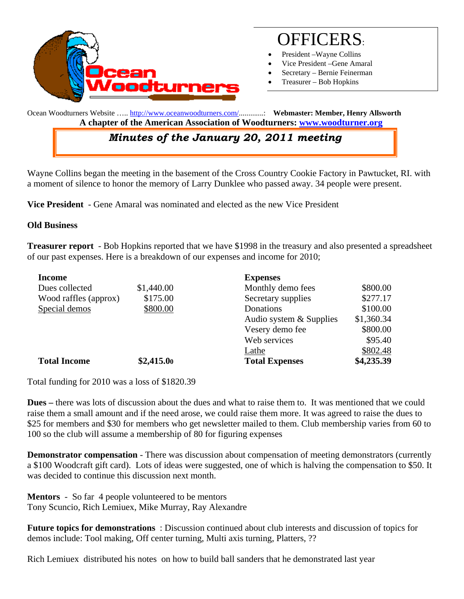

# OFFICERS:

- President Wayne Collins
- Vice President –Gene Amaral
- Secretary Bernie Feinerman
- Treasurer Bob Hopkins

Ocean Woodturners Website ….. http://www.oceanwoodturners.com/.............: **Webmaster: Member, Henry Allsworth A chapter of the American Association of Woodturners: www.woodturner.org** 

## *Minutes of the January 20, 2011 meeting*

Wayne Collins began the meeting in the basement of the Cross Country Cookie Factory in Pawtucket, RI. with a moment of silence to honor the memory of Larry Dunklee who passed away. 34 people were present.

**Vice President** - Gene Amaral was nominated and elected as the new Vice President

#### **Old Business**

**Treasurer report** - Bob Hopkins reported that we have \$1998 in the treasury and also presented a spreadsheet of our past expenses. Here is a breakdown of our expenses and income for 2010;

| <b>Income</b>         |            | <b>Expenses</b>         |            |
|-----------------------|------------|-------------------------|------------|
| Dues collected        | \$1,440.00 | Monthly demo fees       | \$800.00   |
| Wood raffles (approx) | \$175.00   | Secretary supplies      | \$277.17   |
| Special demos         | \$800.00   | Donations               | \$100.00   |
|                       |            | Audio system & Supplies | \$1,360.34 |
|                       |            | Vesery demo fee         | \$800.00   |
|                       |            | Web services            | \$95.40    |
|                       |            | Lathe                   | \$802.48   |
| <b>Total Income</b>   | \$2,415.00 | <b>Total Expenses</b>   | \$4,235.39 |

Total funding for 2010 was a loss of \$1820.39

**Dues –** there was lots of discussion about the dues and what to raise them to. It was mentioned that we could raise them a small amount and if the need arose, we could raise them more. It was agreed to raise the dues to \$25 for members and \$30 for members who get newsletter mailed to them. Club membership varies from 60 to 100 so the club will assume a membership of 80 for figuring expenses

**Demonstrator compensation** - There was discussion about compensation of meeting demonstrators (currently a \$100 Woodcraft gift card). Lots of ideas were suggested, one of which is halving the compensation to \$50. It was decided to continue this discussion next month.

**Mentors** - So far4 people volunteered to be mentors Tony Scuncio, Rich Lemiuex, Mike Murray, Ray Alexandre

**Future topics for demonstrations** : Discussion continued about club interests and discussion of topics for demos include: Tool making, Off center turning, Multi axis turning, Platters, ??

Rich Lemiuex distributed his notes on how to build ball sanders that he demonstrated last year